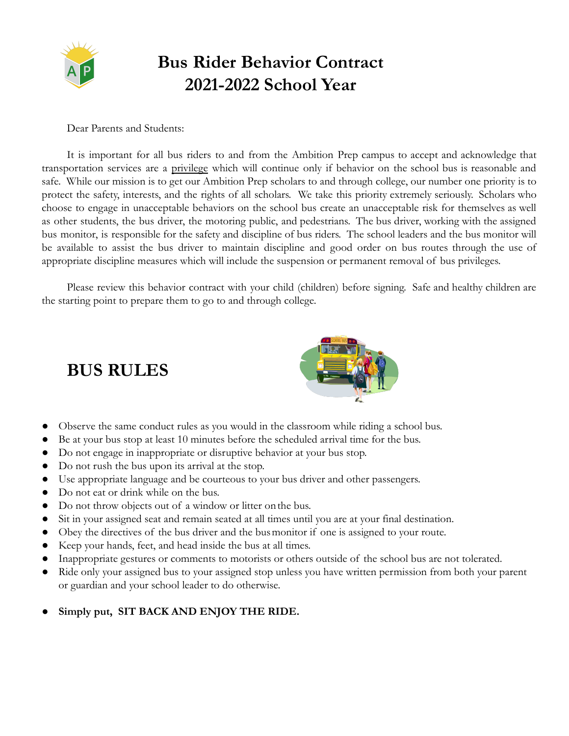

# **Bus Rider Behavior Contract 2021-2022 School Year**

Dear Parents and Students:

It is important for all bus riders to and from the Ambition Prep campus to accept and acknowledge that transportation services are a privilege which will continue only if behavior on the school bus is reasonable and safe. While our mission is to get our Ambition Prep scholars to and through college, our number one priority is to protect the safety, interests, and the rights of all scholars. We take this priority extremely seriously. Scholars who choose to engage in unacceptable behaviors on the school bus create an unacceptable risk for themselves as well as other students, the bus driver, the motoring public, and pedestrians. The bus driver, working with the assigned bus monitor, is responsible for the safety and discipline of bus riders. The school leaders and the bus monitor will be available to assist the bus driver to maintain discipline and good order on bus routes through the use of appropriate discipline measures which will include the suspension or permanent removal of bus privileges.

Please review this behavior contract with your child (children) before signing. Safe and healthy children are the starting point to prepare them to go to and through college.



## **BUS RULES**

- Observe the same conduct rules as you would in the classroom while riding a school bus.
- Be at your bus stop at least 10 minutes before the scheduled arrival time for the bus.
- Do not engage in inappropriate or disruptive behavior at your bus stop.
- Do not rush the bus upon its arrival at the stop.
- Use appropriate language and be courteous to your bus driver and other passengers.
- Do not eat or drink while on the bus.
- Do not throw objects out of a window or litter onthe bus.
- Sit in your assigned seat and remain seated at all times until you are at your final destination.
- Obey the directives of the bus driver and the busmonitor if one is assigned to your route.
- Keep your hands, feet, and head inside the bus at all times.
- Inappropriate gestures or comments to motorists or others outside of the school bus are not tolerated.
- Ride only your assigned bus to your assigned stop unless you have written permission from both your parent or guardian and your school leader to do otherwise.
- Simply put, SIT BACK AND ENJOY THE RIDE.